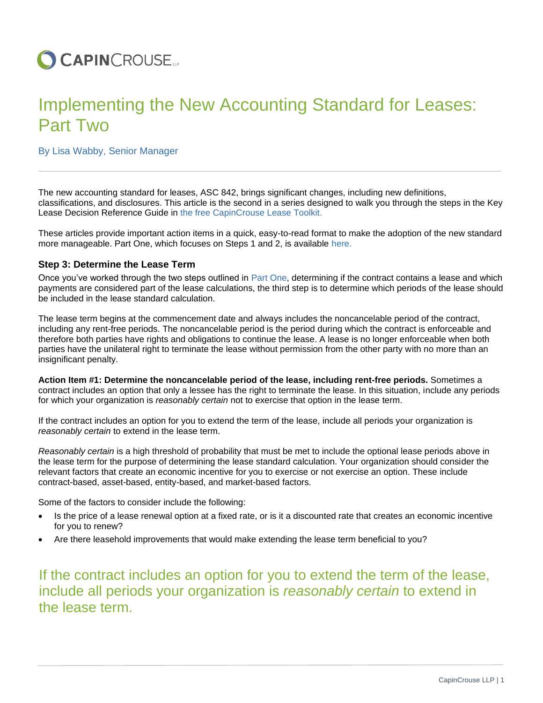

# Implementing the New Accounting Standard for Leases: Part Two

## By Lisa Wabby, Senior Manager

The new accounting standard for leases, ASC 842, brings significant changes, including new definitions, classifications, and disclosures. This article is the second in a series designed to walk you through the steps in the Key Lease Decision Reference Guide in [the free CapinCrouse Lease Toolkit.](https://capincrouse.com/capincrouse-lease-toolkit/)

These articles provide important action items in a quick, easy-to-read format to make the adoption of the new standard more manageable. Part One, which focuses on Steps 1 and 2, is available [here.](https://capincrouse.com/implementing-new-accounting-standard-leases-part-one/)

#### **Step 3: Determine the Lease Term**

Once you've worked through the two steps outlined in [Part One,](https://capincrouse.com/implementing-new-accounting-standard-leases-part-one/) determining if the contract contains a lease and which payments are considered part of the lease calculations, the third step is to determine which periods of the lease should be included in the lease standard calculation.

The lease term begins at the commencement date and always includes the noncancelable period of the contract, including any rent-free periods. The noncancelable period is the period during which the contract is enforceable and therefore both parties have rights and obligations to continue the lease. A lease is no longer enforceable when both parties have the unilateral right to terminate the lease without permission from the other party with no more than an insignificant penalty.

**Action Item #1: Determine the noncancelable period of the lease, including rent-free periods.** Sometimes a contract includes an option that only a lessee has the right to terminate the lease. In this situation, include any periods for which your organization is *reasonably certain* not to exercise that option in the lease term.

If the contract includes an option for you to extend the term of the lease, include all periods your organization is *reasonably certain* to extend in the lease term.

*Reasonably certain* is a high threshold of probability that must be met to include the optional lease periods above in the lease term for the purpose of determining the lease standard calculation. Your organization should consider the relevant factors that create an economic incentive for you to exercise or not exercise an option. These include contract-based, asset-based, entity-based, and market-based factors.

Some of the factors to consider include the following:

- Is the price of a lease renewal option at a fixed rate, or is it a discounted rate that creates an economic incentive for you to renew?
- Are there leasehold improvements that would make extending the lease term beneficial to you?

If the contract includes an option for you to extend the term of the lease, include all periods your organization is *reasonably certain* to extend in the lease term.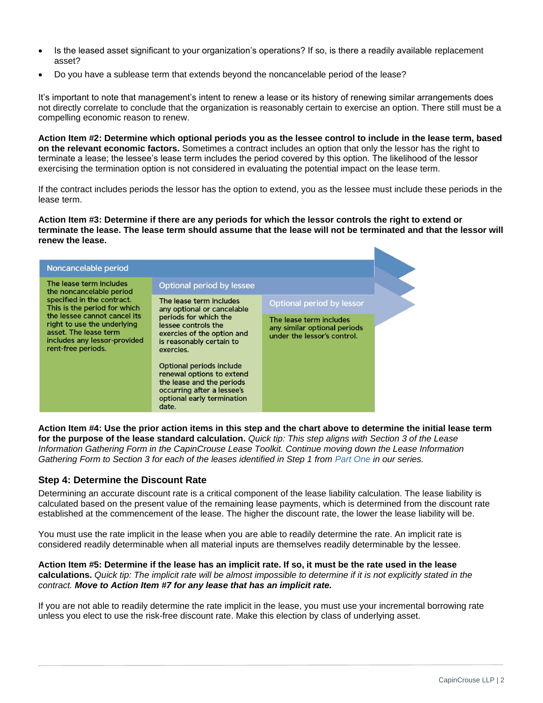- Is the leased asset significant to your organization's operations? If so, is there a readily available replacement asset?
- Do you have a sublease term that extends beyond the noncancelable period of the lease?

It's important to note that management's intent to renew a lease or its history of renewing similar arrangements does not directly correlate to conclude that the organization is reasonably certain to exercise an option. There still must be a compelling economic reason to renew.

**Action Item #2: Determine which optional periods you as the lessee control to include in the lease term, based on the relevant economic factors.** Sometimes a contract includes an option that only the lessor has the right to terminate a lease; the lessee's lease term includes the period covered by this option. The likelihood of the lessor exercising the termination option is not considered in evaluating the potential impact on the lease term.

If the contract includes periods the lessor has the option to extend, you as the lessee must include these periods in the lease term.

**Action Item #3: Determine if there are any periods for which the lessor controls the right to extend or terminate the lease. The lease term should assume that the lease will not be terminated and that the lessor will renew the lease.** 

| Noncancelable period                                                                                                                                                                                                                                            |                                                                                                                                                                              |                                                                                        |  |
|-----------------------------------------------------------------------------------------------------------------------------------------------------------------------------------------------------------------------------------------------------------------|------------------------------------------------------------------------------------------------------------------------------------------------------------------------------|----------------------------------------------------------------------------------------|--|
| The lease term includes<br>the noncancelable period<br>specified in the contract.<br>This is the period for which<br>the lessee cannot cancel its<br>right to use the underlying<br>asset. The lease term<br>includes any lessor-provided<br>rent-free periods. | Optional period by lessee                                                                                                                                                    |                                                                                        |  |
|                                                                                                                                                                                                                                                                 | The lease term includes<br>any optional or cancelable<br>periods for which the<br>lessee controls the<br>exercies of the option and<br>is reasonably certain to<br>exercies. | Optional period by lessor                                                              |  |
|                                                                                                                                                                                                                                                                 |                                                                                                                                                                              | The lease term includes<br>any similar optional periods<br>under the lessor's control. |  |
|                                                                                                                                                                                                                                                                 | Optional periods include<br>renewal options to extend<br>the lease and the periods<br>occurring after a lessee's<br>optional early termination<br>date.                      |                                                                                        |  |

**Action Item #4: Use the prior action items in this step and the chart above to determine the initial lease term for the purpose of the lease standard calculation.** *Quick tip: This step aligns with Section 3 of the Lease Information Gathering Form in the CapinCrouse Lease Toolkit. Continue moving down the Lease Information Gathering Form to Section 3 for each of the leases identified in Step 1 from [Part One](https://capincrouse.com/implementing-new-accounting-standard-leases-part-one/) in our series.*

### **Step 4: Determine the Discount Rate**

Determining an accurate discount rate is a critical component of the lease liability calculation. The lease liability is calculated based on the present value of the remaining lease payments, which is determined from the discount rate established at the commencement of the lease. The higher the discount rate, the lower the lease liability will be.

You must use the rate implicit in the lease when you are able to readily determine the rate. An implicit rate is considered readily determinable when all material inputs are themselves readily determinable by the lessee.

#### **Action Item #5: Determine if the lease has an implicit rate. If so, it must be the rate used in the lease calculations.** *Quick tip: The implicit rate will be almost impossible to determine if it is not explicitly stated in the contract. Move to Action Item #7 for any lease that has an implicit rate.*

If you are not able to readily determine the rate implicit in the lease, you must use your incremental borrowing rate unless you elect to use the risk-free discount rate. Make this election by class of underlying asset.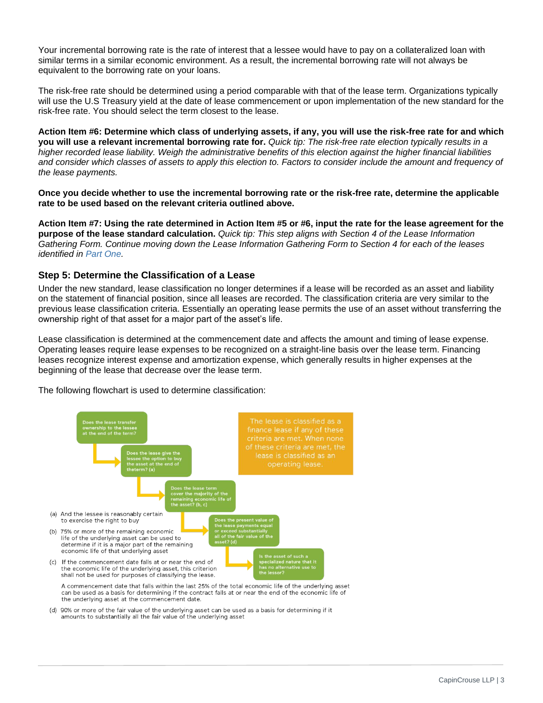Your incremental borrowing rate is the rate of interest that a lessee would have to pay on a collateralized loan with similar terms in a similar economic environment. As a result, the incremental borrowing rate will not always be equivalent to the borrowing rate on your loans.

The risk-free rate should be determined using a period comparable with that of the lease term. Organizations typically will use the U.S Treasury yield at the date of lease commencement or upon implementation of the new standard for the risk-free rate. You should select the term closest to the lease.

**Action Item #6: Determine which class of underlying assets, if any, you will use the risk-free rate for and which you will use a relevant incremental borrowing rate for.** *Quick tip: The risk-free rate election typically results in a higher recorded lease liability. Weigh the administrative benefits of this election against the higher financial liabilities and consider which classes of assets to apply this election to. Factors to consider include the amount and frequency of the lease payments.* 

**Once you decide whether to use the incremental borrowing rate or the risk-free rate, determine the applicable rate to be used based on the relevant criteria outlined above.**

**Action Item #7: Using the rate determined in Action Item #5 or #6, input the rate for the lease agreement for the purpose of the lease standard calculation.** *Quick tip: This step aligns with Section 4 of the Lease Information Gathering Form. Continue moving down the Lease Information Gathering Form to Section 4 for each of the leases identified in [Part One.](https://capincrouse.com/implementing-new-accounting-standard-leases-part-one/)*

## **Step 5: Determine the Classification of a Lease**

Under the new standard, lease classification no longer determines if a lease will be recorded as an asset and liability on the statement of financial position, since all leases are recorded. The classification criteria are very similar to the previous lease classification criteria. Essentially an operating lease permits the use of an asset without transferring the ownership right of that asset for a major part of the asset's life.

Lease classification is determined at the commencement date and affects the amount and timing of lease expense. Operating leases require lease expenses to be recognized on a straight-line basis over the lease term. Financing leases recognize interest expense and amortization expense, which generally results in higher expenses at the beginning of the lease that decrease over the lease term.

The following flowchart is used to determine classification:



the underlying asset at the commencement date.

(d) 90% or more of the fair value of the underlying asset can be used as a basis for determining if it amounts to substantially all the fair value of the underlying asset